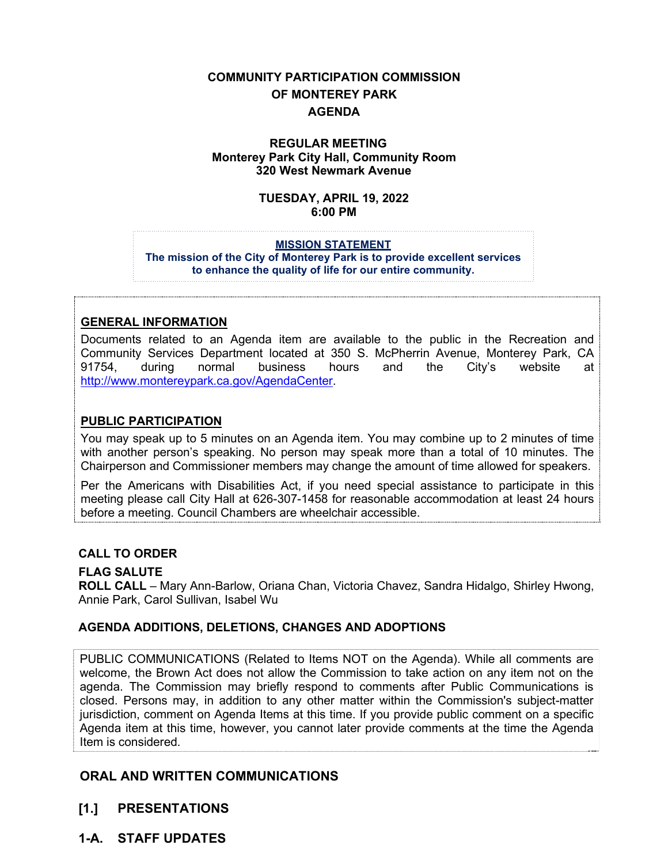# **COMMUNITY PARTICIPATION COMMISSION OF MONTEREY PARK AGENDA**

#### **REGULAR MEETING Monterey Park City Hall, Community Room 320 West Newmark Avenue**

#### **TUESDAY, APRIL 19, 2022 6:00 PM**

#### **MISSION STATEMENT**

**The mission of the City of Monterey Park is to provide excellent services to enhance the quality of life for our entire community.**

#### **GENERAL INFORMATION**

Documents related to an Agenda item are available to the public in the Recreation and Community Services Department located at 350 S. McPherrin Avenue, Monterey Park, CA 91754, during normal business hours and the City's website at [http://www.montereypark.ca.gov/AgendaCenter.](http://www.montereypark.ca.gov/AgendaCenter)

#### **PUBLIC PARTICIPATION**

You may speak up to 5 minutes on an Agenda item. You may combine up to 2 minutes of time with another person's speaking. No person may speak more than a total of 10 minutes. The Chairperson and Commissioner members may change the amount of time allowed for speakers.

Per the Americans with Disabilities Act, if you need special assistance to participate in this meeting please call City Hall at 626-307-1458 for reasonable accommodation at least 24 hours before a meeting. Council Chambers are wheelchair accessible.

#### **CALL TO ORDER**

#### **FLAG SALUTE**

**ROLL CALL** – Mary Ann-Barlow, Oriana Chan, Victoria Chavez, Sandra Hidalgo, Shirley Hwong, Annie Park, Carol Sullivan, Isabel Wu

## **AGENDA ADDITIONS, DELETIONS, CHANGES AND ADOPTIONS**

PUBLIC COMMUNICATIONS (Related to Items NOT on the Agenda). While all comments are welcome, the Brown Act does not allow the Commission to take action on any item not on the agenda. The Commission may briefly respond to comments after Public Communications is closed. Persons may, in addition to any other matter within the Commission's subject-matter jurisdiction, comment on Agenda Items at this time. If you provide public comment on a specific Agenda item at this time, however, you cannot later provide comments at the time the Agenda Item is considered.

## **ORAL AND WRITTEN COMMUNICATIONS**

- **[1.] PRESENTATIONS**
- **1-A. STAFF UPDATES**